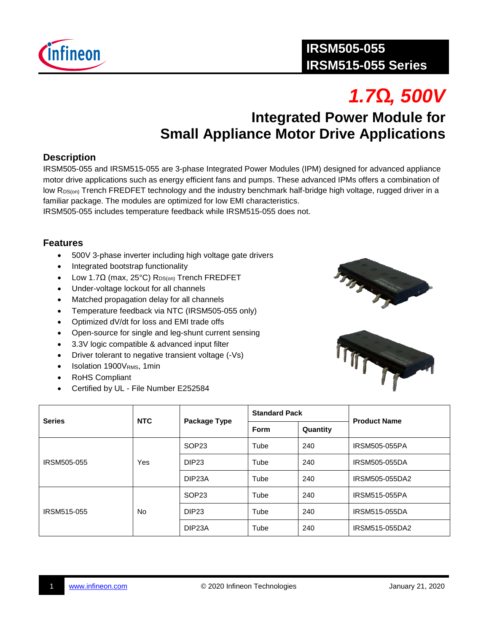

# *1.7Ω, 500V*

## **Integrated Power Module for Small Appliance Motor Drive Applications**

#### **Description**

IRSM505-055 and IRSM515-055 are 3-phase Integrated Power Modules (IPM) designed for advanced appliance motor drive applications such as energy efficient fans and pumps. These advanced IPMs offers a combination of low R<sub>DS(on)</sub> Trench FREDFET technology and the industry benchmark half-bridge high voltage, rugged driver in a familiar package. The modules are optimized for low EMI characteristics.

IRSM505-055 includes temperature feedback while IRSM515-055 does not.

#### **Features**

- 500V 3-phase inverter including high voltage gate drivers
- Integrated bootstrap functionality
- Low 1.7Ω (max, 25°C) R<sub>DS(on)</sub> Trench FREDFET
- Under-voltage lockout for all channels
- Matched propagation delay for all channels
- Temperature feedback via NTC (IRSM505-055 only)
- Optimized dV/dt for loss and EMI trade offs
- Open-source for single and leg-shunt current sensing
- 3.3V logic compatible & advanced input filter
- Driver tolerant to negative transient voltage (-Vs)
- Isolation 1900VRMS, 1min
- RoHS Compliant
- Certified by UL File Number E252584





| <b>Series</b> | <b>NTC</b> | Package Type        | <b>Standard Pack</b> |          | <b>Product Name</b>  |
|---------------|------------|---------------------|----------------------|----------|----------------------|
|               |            |                     | Form                 | Quantity |                      |
|               | Yes        | SOP <sub>23</sub>   | Tube                 | 240      | <b>IRSM505-055PA</b> |
| IRSM505-055   |            | DIP <sub>23</sub>   | Tube                 | 240      | <b>IRSM505-055DA</b> |
|               |            | DIP <sub>23</sub> A | Tube                 | 240      | IRSM505-055DA2       |
| IRSM515-055   | <b>No</b>  | SOP <sub>23</sub>   | Tube                 | 240      | <b>IRSM515-055PA</b> |
|               |            | DIP <sub>23</sub>   | Tube                 | 240      | IRSM515-055DA        |
|               |            | DIP <sub>23</sub> A | Tube                 | 240      | IRSM515-055DA2       |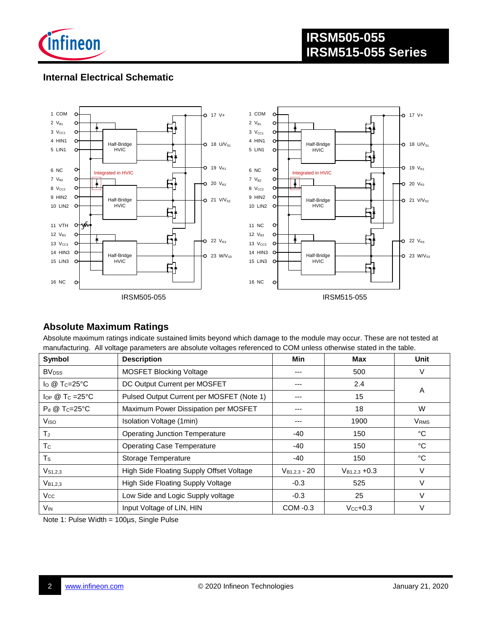

#### **Internal Electrical Schematic**



#### **Absolute Maximum Ratings**

Absolute maximum ratings indicate sustained limits beyond which damage to the module may occur. These are not tested at manufacturing. All voltage parameters are absolute voltages referenced to COM unless otherwise stated in the table.

| Symbol                          | <b>Description</b>                        | <b>Min</b> | Max                | <b>Unit</b>             |
|---------------------------------|-------------------------------------------|------------|--------------------|-------------------------|
| <b>BV</b> <sub>DSS</sub>        | <b>MOSFET Blocking Voltage</b>            | ---        | 500                | V                       |
| $\log$ Tc=25°C                  | DC Output Current per MOSFET              |            | 2.4                | A                       |
| $\log$ @ Tc =25°C               | Pulsed Output Current per MOSFET (Note 1) |            | 15                 |                         |
| $P_d \otimes T_C = 25^{\circ}C$ | Maximum Power Dissipation per MOSFET      | ---        | 18                 | W                       |
| V <sub>ISO</sub>                | Isolation Voltage (1min)                  |            | 1900               | <b>V</b> <sub>RMS</sub> |
| TJ.                             | <b>Operating Junction Temperature</b>     |            | 150                | °C                      |
| T <sub>c</sub>                  | <b>Operating Case Temperature</b>         |            | 150                | °C                      |
| $T_{\rm S}$                     | Storage Temperature                       |            | 150                | $^{\circ}$ C            |
| $V_{S1,2,3}$                    | High Side Floating Supply Offset Voltage  |            | $V_{B1,2,3} + 0.3$ | V                       |
| $V_{B1,2,3}$                    | High Side Floating Supply Voltage         |            | 525                | V                       |
| $V_{\rm CC}$                    | Low Side and Logic Supply voltage         |            | 25                 | V                       |
| Vin                             | Input Voltage of LIN, HIN                 | COM -0.3   | $Vcc+0.3$          | V                       |

Note 1: Pulse Width = 100µs, Single Pulse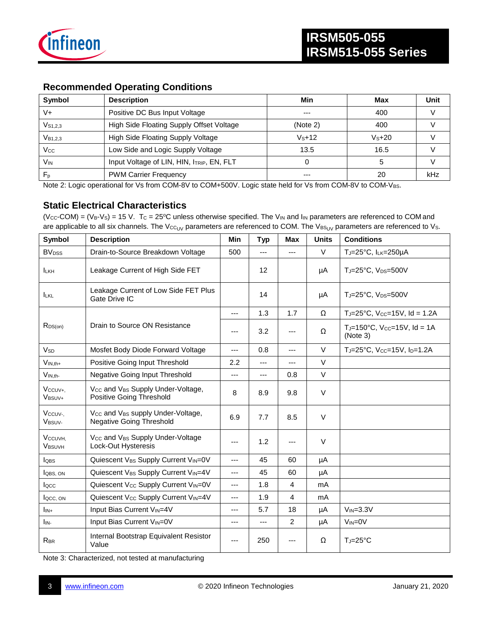

#### **Recommended Operating Conditions**

| Symbol              | <b>Description</b>                        | Min      | Max     | Unit |
|---------------------|-------------------------------------------|----------|---------|------|
| V+                  | Positive DC Bus Input Voltage             | $- - -$  | 400     |      |
| $V_{S1,2,3}$        | High Side Floating Supply Offset Voltage  | (Note 2) | 400     |      |
| V <sub>B1.2.3</sub> | High Side Floating Supply Voltage         | $Vs+12$  | $Vs+20$ |      |
| Vcc                 | Low Side and Logic Supply Voltage         | 13.5     | 16.5    |      |
| V <sub>IN</sub>     | Input Voltage of LIN, HIN, ITRIP, EN, FLT |          | b       |      |
| F <sub>p</sub>      | <b>PWM Carrier Frequency</b>              | ---      | 20      | kHz  |

Note 2: Logic operational for Vs from COM-8V to COM+500V. Logic state held for Vs from COM-8V to COM-VBS.

#### **Static Electrical Characteristics**

(Vcc-COM) =  $(V_B-V_S)$  = 15 V. Tc = 25°C unless otherwise specified. The V<sub>IN</sub> and I<sub>IN</sub> parameters are referenced to COM and are applicable to all six channels. The Vcc<sub>UV</sub> parameters are referenced to COM. The VBS<sub>UV</sub> parameters are referenced to Vs.

| Symbol                              | <b>Description</b>                                                                           | <b>Min</b> | <b>Typ</b>        | <b>Max</b>     | <b>Units</b> | <b>Conditions</b>                                   |
|-------------------------------------|----------------------------------------------------------------------------------------------|------------|-------------------|----------------|--------------|-----------------------------------------------------|
| <b>BV</b> <sub>DSS</sub>            | Drain-to-Source Breakdown Voltage                                                            |            | $\qquad \qquad -$ | $---$          | $\vee$       | TJ=25°C, ILK=250µA                                  |
| <b>ILKH</b>                         | Leakage Current of High Side FET                                                             |            | 12                |                | μA           | TJ=25°C, V <sub>DS</sub> =500V                      |
| <b>ILKL</b>                         | Leakage Current of Low Side FET Plus<br>Gate Drive IC                                        |            | 14                |                | μA           | TJ=25°C, V <sub>DS</sub> =500V                      |
|                                     |                                                                                              | ---        | 1.3               | 1.7            | Ω            | TJ=25°C, Vcc=15V, Id = 1.2A                         |
| $R_{DS(on)}$                        | Drain to Source ON Resistance                                                                | ---        | 3.2               |                | Ω            | $T_J = 150^{\circ}C$ , Vcc=15V, Id = 1A<br>(Note 3) |
| <b>V<sub>SD</sub></b>               | Mosfet Body Diode Forward Voltage                                                            | ---        | 0.8               | ---            | $\vee$       | TJ=25°C, Vcc=15V, Ip=1.2A                           |
| $V_{IN,th+}$                        | Positive Going Input Threshold                                                               | 2.2        | $---$             | ---            | $\vee$       |                                                     |
| $V_{IN,th}$                         | Negative Going Input Threshold                                                               | ---        | $---$             | 0.8            | $\vee$       |                                                     |
| Vccuv+.<br>V <sub>BSUV+</sub>       | Vcc and V <sub>BS</sub> Supply Under-Voltage,<br>Positive Going Threshold                    | 8          | 8.9               | 9.8            | $\vee$       |                                                     |
| Vccuv-<br>V <sub>BSUV-</sub>        | V <sub>CC</sub> and V <sub>BS</sub> supply Under-Voltage,<br><b>Negative Going Threshold</b> |            | 7.7               | 8.5            | $\vee$       |                                                     |
| V <sub>CCUVH</sub><br><b>VBSUVH</b> | Vcc and VBs Supply Under-Voltage<br>Lock-Out Hysteresis                                      |            | 1.2               | ---            | $\vee$       |                                                     |
| <b>l</b> obs                        | Quiescent VBS Supply Current VIN=0V                                                          | ---        | 45                | 60             | μA           |                                                     |
| <b>l</b> QBS, ON                    | Quiescent VBS Supply Current VIN=4V                                                          | ---        | 45                | 60             | μA           |                                                     |
| locc                                | Quiescent Vcc Supply Current VIN=0V                                                          | ---        | 1.8               | $\overline{4}$ | mA           |                                                     |
| locc, ON                            | Quiescent Vcc Supply Current VIN=4V                                                          | ---        | 1.9               | 4              | mA           |                                                     |
| $I_{IN+}$                           | Input Bias Current V <sub>IN</sub> =4V                                                       |            | 5.7               | 18             | μA           | $V_{IN}=3.3V$                                       |
| I <sub>IN-</sub>                    | Input Bias Current VIN=0V                                                                    | ---        | ---               | 2              | μA           | $V_{IN} = 0V$                                       |
| <b>RBR</b>                          | Internal Bootstrap Equivalent Resistor<br>Value                                              | ---        | 250               | ---            | Ω            | $T_J = 25^{\circ}C$                                 |

Note 3: Characterized, not tested at manufacturing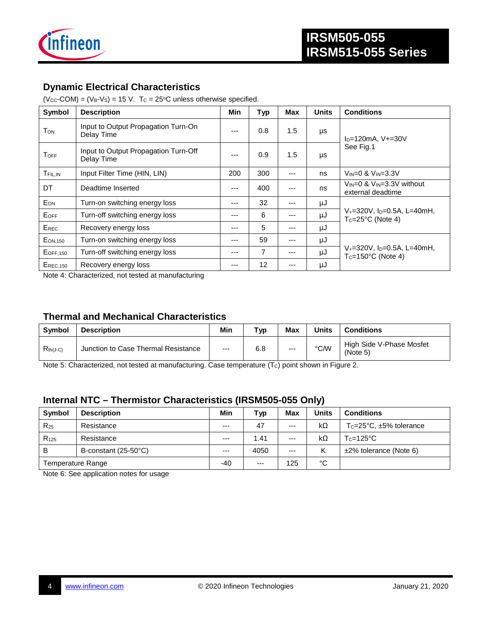

#### **Dynamic Electrical Characteristics**

 $(V_{CC}$ -COM) =  $(V_B-V_S)$  = 15 V. T<sub>C</sub> = 25°C unless otherwise specified.

| Symbol                 | <b>Description</b>                                 | <b>Min</b> | <b>Typ</b>        | <b>Max</b> | <b>Units</b> | <b>Conditions</b>                                                              |  |
|------------------------|----------------------------------------------------|------------|-------------------|------------|--------------|--------------------------------------------------------------------------------|--|
| <b>T</b> <sub>ON</sub> | Input to Output Propagation Turn-On<br>Delay Time  | $---$      | 0.8               | 1.5        | μs           | $I_{D} = 120mA$ , V $+ = 30V$<br>See Fig.1                                     |  |
| $T_{\rm OFF}$          | Input to Output Propagation Turn-Off<br>Delay Time | ---        | 0.9               | 1.5        | μs           |                                                                                |  |
| T <sub>FIL,IN</sub>    | Input Filter Time (HIN, LIN)                       | 200        | 300               | ---        | ns           | $V_{IN}=0$ & $V_{IN}=3.3V$                                                     |  |
| DT                     | Deadtime Inserted                                  | ---        | 400               | ---        | ns           | $V_{IN}=0$ & $V_{IN}=3.3V$ without<br>external deadtime                        |  |
| EON                    | Turn-on switching energy loss                      | ---        | 32                | ---        | μJ           |                                                                                |  |
| EOFF                   | Turn-off switching energy loss                     | ---        | 6                 | $---$      | μJ           | $V_{+}$ =320V, I <sub>D</sub> =0.5A, L=40mH,<br>$Tc=25^{\circ}C$ (Note 4)      |  |
| EREC                   | Recovery energy loss                               | ---        | 5                 | ---        | μJ           |                                                                                |  |
| $E_{ON,150}$           | Turn-on switching energy loss                      | ---        | 59                | ---        | μJ           |                                                                                |  |
| <b>EOFF,150</b>        | Turn-off switching energy loss                     | ---        | 7                 | $---$      | μJ           | $V_{+}$ =320V, I <sub>D</sub> =0.5A, L=40mH,<br>$T_C = 150^{\circ}$ C (Note 4) |  |
| <b>EREC.150</b>        | Recovery energy loss                               | ---        | $12 \overline{ }$ | ---        | μJ           |                                                                                |  |

Note 4: Characterized, not tested at manufacturing

#### **Thermal and Mechanical Characteristics**

| Symbol        | <b>Description</b>                  | Min   | Typ | Max   | <b>Units</b> | Conditions                           |
|---------------|-------------------------------------|-------|-----|-------|--------------|--------------------------------------|
| $R_{th(J-C)}$ | Junction to Case Thermal Resistance | $---$ | 6.8 | $---$ | °C/W         | High Side V-Phase Mosfet<br>(Note 5) |

Note 5: Characterized, not tested at manufacturing. Case temperature (Tc) point shown in Figure 2.

#### **Internal NTC – Thermistor Characteristics (IRSM505-055 Only)**

| Symbol            | <b>Description</b>   | Min   | Typ   | Max   | <b>Units</b> | <b>Conditions</b>                         |
|-------------------|----------------------|-------|-------|-------|--------------|-------------------------------------------|
| $R_{25}$          | Resistance           | $--$  | 47    | $---$ | kΩ           | $T_c = 25^{\circ}C$ , $\pm 5\%$ tolerance |
| $R_{125}$         | Resistance           | $--$  | 1.41  | $---$ | kΩ           | $T_c = 125$ °C                            |
| B                 | B-constant (25-50°C) | $--$  | 4050  | $---$ | Κ            | $±2\%$ tolerance (Note 6)                 |
| Temperature Range |                      | $-40$ | $---$ | 125   | °C           |                                           |

Note 6: See application notes for usage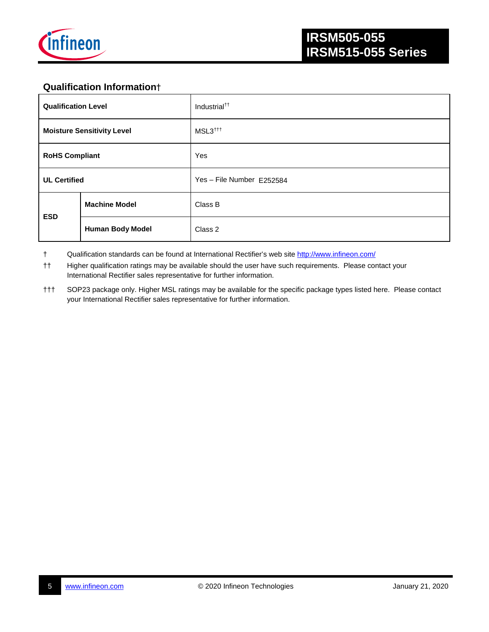

### **Qualification Information**†

| <b>Qualification Level</b>        |                         | Industrial <sup>††</sup>  |  |  |  |
|-----------------------------------|-------------------------|---------------------------|--|--|--|
| <b>Moisture Sensitivity Level</b> |                         | MSL3 <sup>†††</sup>       |  |  |  |
| <b>RoHS Compliant</b>             |                         | Yes                       |  |  |  |
| <b>UL Certified</b>               |                         | Yes - File Number E252584 |  |  |  |
| <b>ESD</b>                        | <b>Machine Model</b>    | Class B                   |  |  |  |
|                                   | <b>Human Body Model</b> | Class 2                   |  |  |  |

† Qualification standards can be found at International Rectifier's web site<http://www.infineon.com/>

†† Higher qualification ratings may be available should the user have such requirements. Please contact your International Rectifier sales representative for further information.

††† SOP23 package only. Higher MSL ratings may be available for the specific package types listed here. Please contact your International Rectifier sales representative for further information.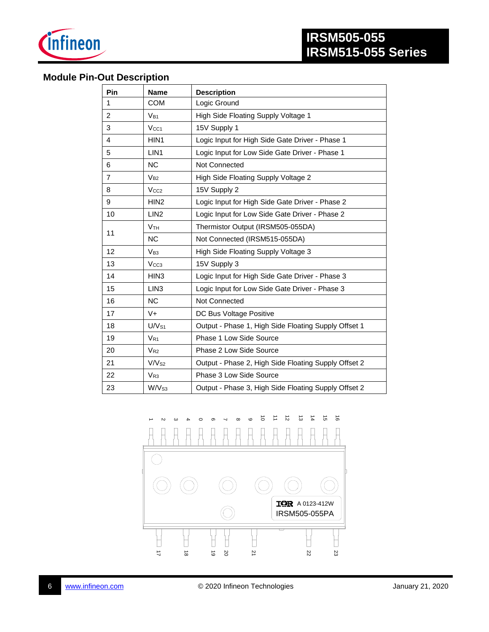

#### **Module Pin-Out Description**

| Pin            | <b>Name</b>       | <b>Description</b>                                   |
|----------------|-------------------|------------------------------------------------------|
| 1              | <b>COM</b>        | Logic Ground                                         |
| $\overline{2}$ | $V_{B1}$          | High Side Floating Supply Voltage 1                  |
| 3              | V <sub>CC1</sub>  | 15V Supply 1                                         |
| 4              | HIN1              | Logic Input for High Side Gate Driver - Phase 1      |
| 5              | LIN <sub>1</sub>  | Logic Input for Low Side Gate Driver - Phase 1       |
| 6              | <b>NC</b>         | <b>Not Connected</b>                                 |
| $\overline{7}$ | $V_{B2}$          | High Side Floating Supply Voltage 2                  |
| 8              | V <sub>CC2</sub>  | 15V Supply 2                                         |
| 9              | HIN <sub>2</sub>  | Logic Input for High Side Gate Driver - Phase 2      |
| 10             | LIN <sub>2</sub>  | Logic Input for Low Side Gate Driver - Phase 2       |
| 11             | V <sub>TH</sub>   | Thermistor Output (IRSM505-055DA)                    |
|                | <b>NC</b>         | Not Connected (IRSM515-055DA)                        |
| 12             | $V_{B3}$          | High Side Floating Supply Voltage 3                  |
| 13             | V <sub>CC3</sub>  | 15V Supply 3                                         |
| 14             | HIN <sub>3</sub>  | Logic Input for High Side Gate Driver - Phase 3      |
| 15             | LIN <sub>3</sub>  | Logic Input for Low Side Gate Driver - Phase 3       |
| 16             | <b>NC</b>         | Not Connected                                        |
| 17             | $V +$             | DC Bus Voltage Positive                              |
| 18             | U/V <sub>S1</sub> | Output - Phase 1, High Side Floating Supply Offset 1 |
| 19             | $V_{R1}$          | Phase 1 Low Side Source                              |
| 20             | $V_{R2}$          | Phase 2 Low Side Source                              |
| 21             | V/V <sub>S2</sub> | Output - Phase 2, High Side Floating Supply Offset 2 |
| 22             | $V_{R3}$          | Phase 3 Low Side Source                              |
| 23             | W/V <sub>S3</sub> | Output - Phase 3, High Side Floating Supply Offset 2 |

 $\vec{o}$  $\ensuremath{\mathop{\rightharpoonup}\limits^{\scriptscriptstyle\rightarrow}}$  $\vec{z}$  $\vec{\omega}$  $\frac{1}{4}$  $\vec{5}$  $\vec{0}$  $\circ$  $\sigma$  $\circ$  $\infty$ 4 3 4 4  $\overline{ }$  $\overline{A}$  $\overline{A}$  $\Box$  $\overline{\mathbb{H}}$ A

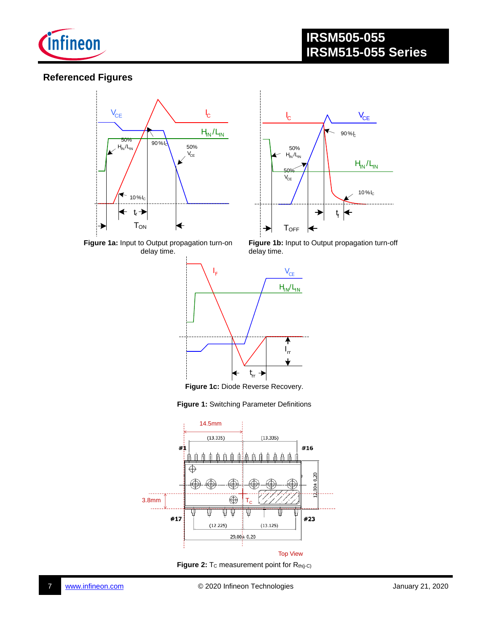

#### **Referenced Figures**





**Figure 1a:** Input to Output propagation turn-on delay time.

Figure 1b: Input to Output propagation turn-off delay time.



**Figure 1c:** Diode Reverse Recovery.





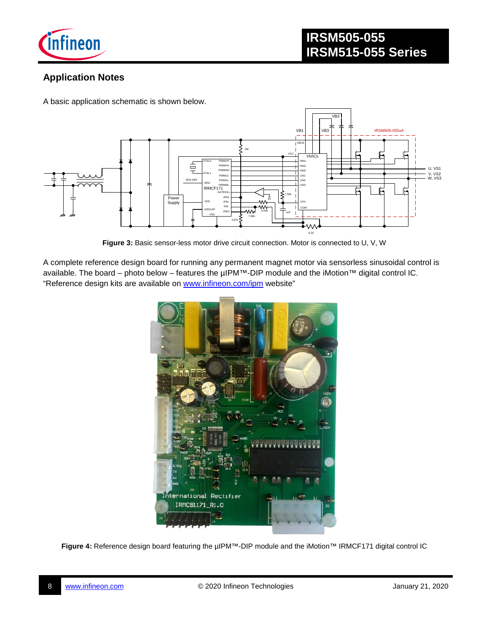

#### **Application Notes**

A basic application schematic is shown below.



**Figure 3:** Basic sensor-less motor drive circuit connection. Motor is connected to U, V, W

A complete reference design board for running any permanent magnet motor via sensorless sinusoidal control is available. The board – photo below – features the µIPM™-DIP module and the iMotion™ digital control IC. "Reference design kits are available on [www.infineon.com/ipm](http://www.infineon.com/ipm) website"



**Figure 4:** Reference design board featuring the µIPM™-DIP module and the iMotion™ IRMCF171 digital control IC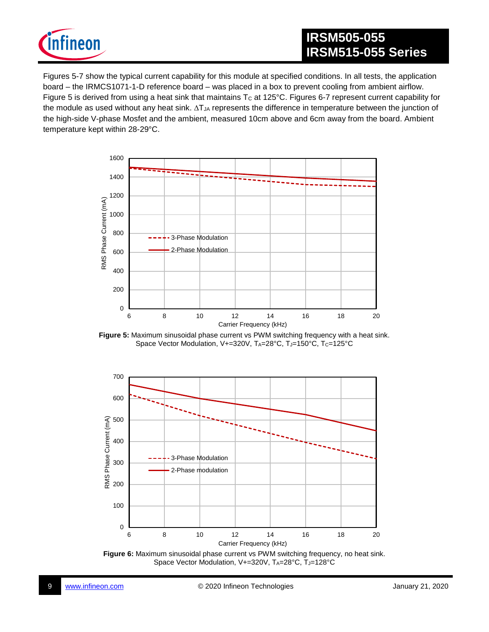

## **IRSM505-055 IRSM515-055 Series**

Figures 5-7 show the typical current capability for this module at specified conditions. In all tests, the application board – the IRMCS1071-1-D reference board – was placed in a box to prevent cooling from ambient airflow. Figure 5 is derived from using a heat sink that maintains  $T_c$  at 125°C. Figures 6-7 represent current capability for the module as used without any heat sink. ∆T<sub>JA</sub> represents the difference in temperature between the junction of the high-side V-phase Mosfet and the ambient, measured 10cm above and 6cm away from the board. Ambient temperature kept within 28-29°C.



**Figure 5:** Maximum sinusoidal phase current vs PWM switching frequency with a heat sink. Space Vector Modulation, V+=320V, TA=28°C, TJ=150°C, Tc=125°C



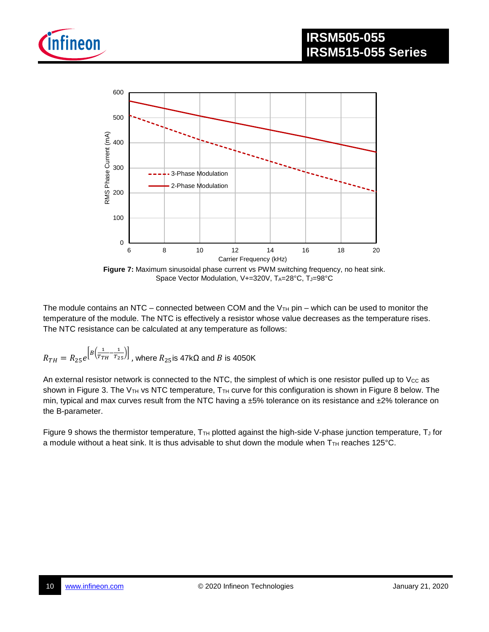



**Figure 7:** Maximum sinusoidal phase current vs PWM switching frequency, no heat sink. Space Vector Modulation, V+=320V, TA=28°C, TJ=98°C

The module contains an NTC – connected between COM and the  $V<sub>TH</sub>$  pin – which can be used to monitor the temperature of the module. The NTC is effectively a resistor whose value decreases as the temperature rises. The NTC resistance can be calculated at any temperature as follows:

$$
R_{TH} = R_{25}e^{\left[B\left(\frac{1}{T_{TH}}-\frac{1}{T_{25}}\right)\right]}
$$
, where  $R_{25}$  is  $47k\Omega$  and  $B$  is  $4050K$ 

An external resistor network is connected to the NTC, the simplest of which is one resistor pulled up to  $V_{CC}$  as shown in Figure 3. The V<sub>TH</sub> vs NTC temperature, T<sub>TH</sub> curve for this configuration is shown in Figure 8 below. The min, typical and max curves result from the NTC having a ±5% tolerance on its resistance and ±2% tolerance on the B-parameter.

Figure 9 shows the thermistor temperature,  $T_{TH}$  plotted against the high-side V-phase junction temperature,  $T_J$  for a module without a heat sink. It is thus advisable to shut down the module when  $T<sub>TH</sub>$  reaches 125 $^{\circ}$ C.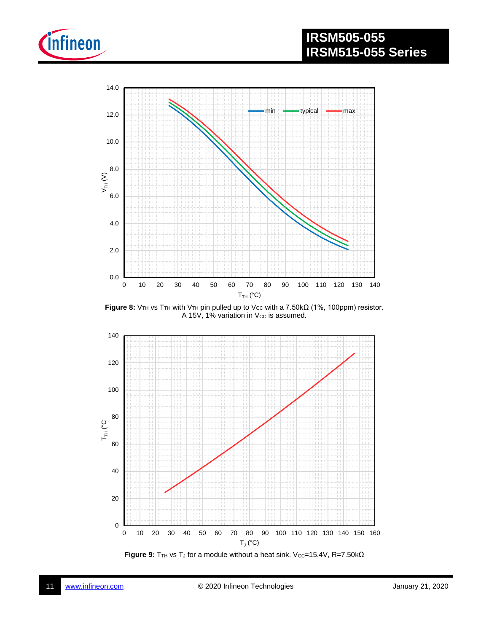



Figure 8: V<sub>TH</sub> vs T<sub>TH</sub> with V<sub>TH</sub> pin pulled up to V<sub>CC</sub> with a 7.50kΩ (1%, 100ppm) resistor. A 15V, 1% variation in Vcc is assumed.



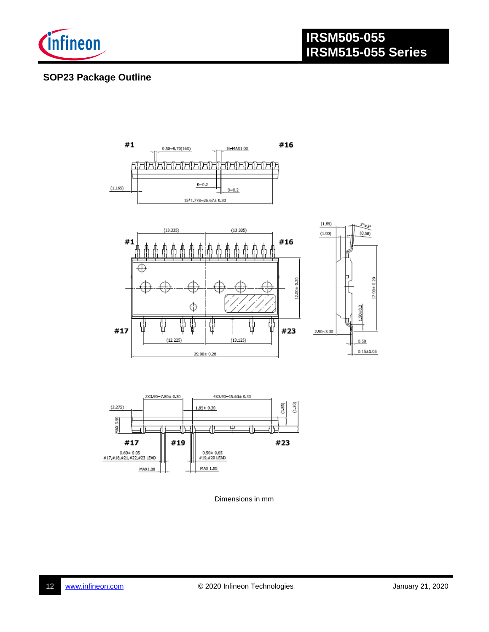

#### **SOP23 Package Outline**



Dimensions in mm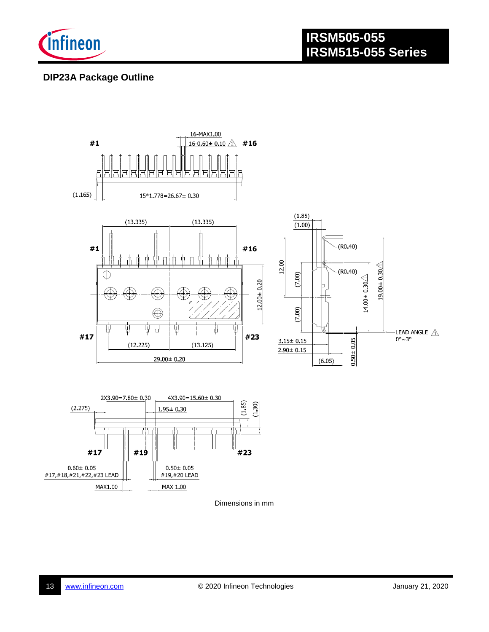

#### **DIP23A Package Outline**



Dimensions in mm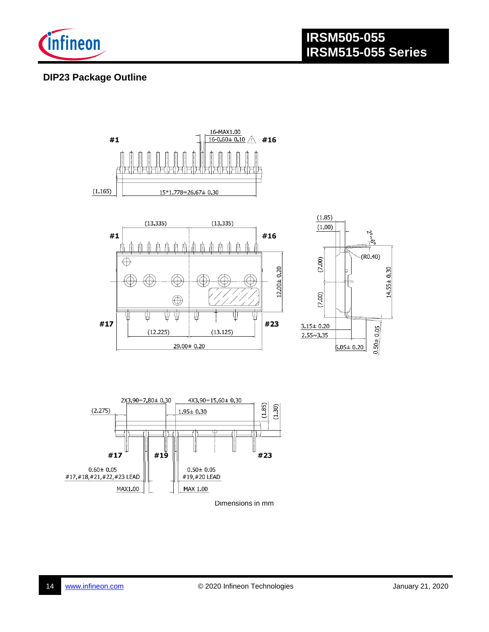

#### **DIP23 Package Outline**



Dimensions in mm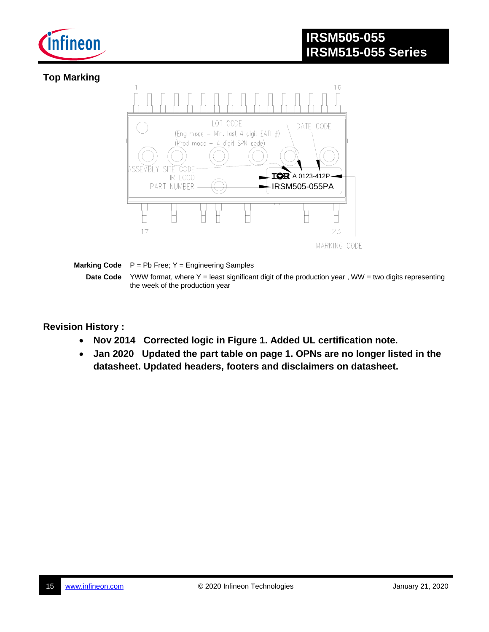

### **Top Marking**



**Marking Code**  $P = Pb$  Free; Y = Engineering Samples

**Date Code** YWW format, where Y = least significant digit of the production year, WW = two digits representing the week of the production year

**Revision History :**

- **Nov 2014 Corrected logic in Figure 1. Added UL certification note.**
- **Jan 2020 Updated the part table on page 1. OPNs are no longer listed in the datasheet. Updated headers, footers and disclaimers on datasheet.**